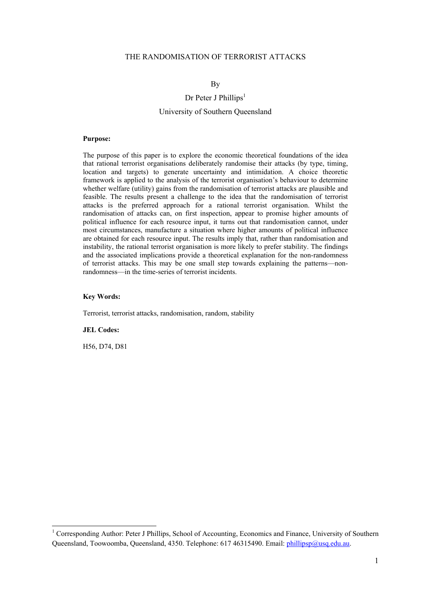#### THE RANDOMISATION OF TERRORIST ATTACKS

## By

# Dr Peter J Phillips<sup>1</sup> University of Southern Queensland

#### **Purpose:**

The purpose of this paper is to explore the economic theoretical foundations of the idea that rational terrorist organisations deliberately randomise their attacks (by type, timing, location and targets) to generate uncertainty and intimidation. A choice theoretic framework is applied to the analysis of the terrorist organisation's behaviour to determine whether welfare (utility) gains from the randomisation of terrorist attacks are plausible and feasible. The results present a challenge to the idea that the randomisation of terrorist attacks is the preferred approach for a rational terrorist organisation. Whilst the randomisation of attacks can, on first inspection, appear to promise higher amounts of political influence for each resource input, it turns out that randomisation cannot, under most circumstances, manufacture a situation where higher amounts of political influence are obtained for each resource input. The results imply that, rather than randomisation and instability, the rational terrorist organisation is more likely to prefer stability. The findings and the associated implications provide a theoretical explanation for the non-randomness of terrorist attacks. This may be one small step towards explaining the patterns—nonrandomness—in the time-series of terrorist incidents.

## **Key Words:**

Terrorist, terrorist attacks, randomisation, random, stability

#### **JEL Codes:**

H56, D74, D81

1

<sup>&</sup>lt;sup>1</sup> Corresponding Author: Peter J Phillips, School of Accounting, Economics and Finance, University of Southern Queensland, Toowoomba, Queensland, 4350. Telephone: 617 46315490. Email: phillipsp@usq.edu.au.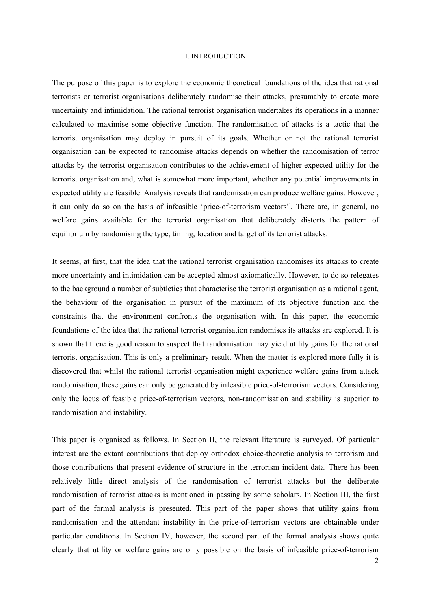#### I. INTRODUCTION

The purpose of this paper is to explore the economic theoretical foundations of the idea that rational terrorists or terrorist organisations deliberately randomise their attacks, presumably to create more uncertainty and intimidation. The rational terrorist organisation undertakes its operations in a manner calculated to maximise some objective function. The randomisation of attacks is a tactic that the terrorist organisation may deploy in pursuit of its goals. Whether or not the rational terrorist organisation can be expected to randomise attacks depends on whether the randomisation of terror attacks by the terrorist organisation contributes to the achievement of higher expected utility for the terrorist organisation and, what is somewhat more important, whether any potential improvements in expected utility are feasible. Analysis reveals that randomisation can produce welfare gains. However, it can only do so on the basis of infeasible 'price-of-terrorism vectors'<sup>i</sup>. There are, in general, no welfare gains available for the terrorist organisation that deliberately distorts the pattern of equilibrium by randomising the type, timing, location and target of its terrorist attacks.

It seems, at first, that the idea that the rational terrorist organisation randomises its attacks to create more uncertainty and intimidation can be accepted almost axiomatically. However, to do so relegates to the background a number of subtleties that characterise the terrorist organisation as a rational agent, the behaviour of the organisation in pursuit of the maximum of its objective function and the constraints that the environment confronts the organisation with. In this paper, the economic foundations of the idea that the rational terrorist organisation randomises its attacks are explored. It is shown that there is good reason to suspect that randomisation may yield utility gains for the rational terrorist organisation. This is only a preliminary result. When the matter is explored more fully it is discovered that whilst the rational terrorist organisation might experience welfare gains from attack randomisation, these gains can only be generated by infeasible price-of-terrorism vectors. Considering only the locus of feasible price-of-terrorism vectors, non-randomisation and stability is superior to randomisation and instability.

This paper is organised as follows. In Section II, the relevant literature is surveyed. Of particular interest are the extant contributions that deploy orthodox choice-theoretic analysis to terrorism and those contributions that present evidence of structure in the terrorism incident data. There has been relatively little direct analysis of the randomisation of terrorist attacks but the deliberate randomisation of terrorist attacks is mentioned in passing by some scholars. In Section III, the first part of the formal analysis is presented. This part of the paper shows that utility gains from randomisation and the attendant instability in the price-of-terrorism vectors are obtainable under particular conditions. In Section IV, however, the second part of the formal analysis shows quite clearly that utility or welfare gains are only possible on the basis of infeasible price-of-terrorism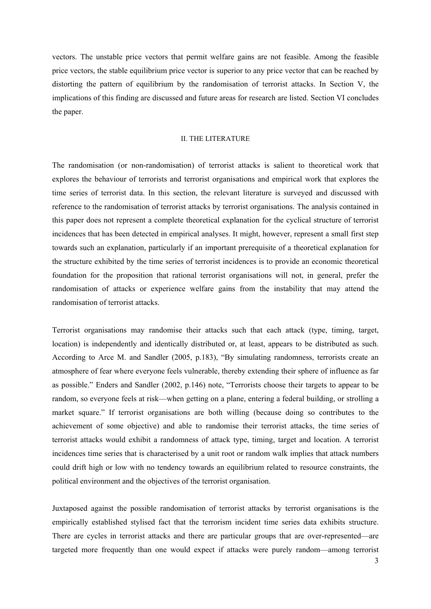vectors. The unstable price vectors that permit welfare gains are not feasible. Among the feasible price vectors, the stable equilibrium price vector is superior to any price vector that can be reached by distorting the pattern of equilibrium by the randomisation of terrorist attacks. In Section V, the implications of this finding are discussed and future areas for research are listed. Section VI concludes the paper.

#### II. THE LITERATURE

The randomisation (or non-randomisation) of terrorist attacks is salient to theoretical work that explores the behaviour of terrorists and terrorist organisations and empirical work that explores the time series of terrorist data. In this section, the relevant literature is surveyed and discussed with reference to the randomisation of terrorist attacks by terrorist organisations. The analysis contained in this paper does not represent a complete theoretical explanation for the cyclical structure of terrorist incidences that has been detected in empirical analyses. It might, however, represent a small first step towards such an explanation, particularly if an important prerequisite of a theoretical explanation for the structure exhibited by the time series of terrorist incidences is to provide an economic theoretical foundation for the proposition that rational terrorist organisations will not, in general, prefer the randomisation of attacks or experience welfare gains from the instability that may attend the randomisation of terrorist attacks.

Terrorist organisations may randomise their attacks such that each attack (type, timing, target, location) is independently and identically distributed or, at least, appears to be distributed as such. According to Arce M. and Sandler (2005, p.183), "By simulating randomness, terrorists create an atmosphere of fear where everyone feels vulnerable, thereby extending their sphere of influence as far as possible." Enders and Sandler (2002, p.146) note, "Terrorists choose their targets to appear to be random, so everyone feels at risk—when getting on a plane, entering a federal building, or strolling a market square." If terrorist organisations are both willing (because doing so contributes to the achievement of some objective) and able to randomise their terrorist attacks, the time series of terrorist attacks would exhibit a randomness of attack type, timing, target and location. A terrorist incidences time series that is characterised by a unit root or random walk implies that attack numbers could drift high or low with no tendency towards an equilibrium related to resource constraints, the political environment and the objectives of the terrorist organisation.

Juxtaposed against the possible randomisation of terrorist attacks by terrorist organisations is the empirically established stylised fact that the terrorism incident time series data exhibits structure. There are cycles in terrorist attacks and there are particular groups that are over-represented—are targeted more frequently than one would expect if attacks were purely random—among terrorist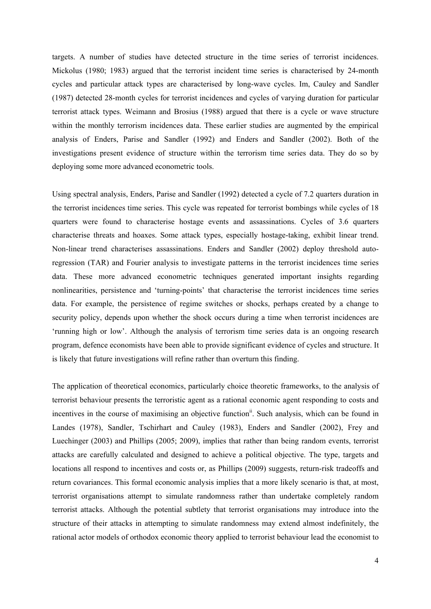targets. A number of studies have detected structure in the time series of terrorist incidences. Mickolus (1980; 1983) argued that the terrorist incident time series is characterised by 24-month cycles and particular attack types are characterised by long-wave cycles. Im, Cauley and Sandler (1987) detected 28-month cycles for terrorist incidences and cycles of varying duration for particular terrorist attack types. Weimann and Brosius (1988) argued that there is a cycle or wave structure within the monthly terrorism incidences data. These earlier studies are augmented by the empirical analysis of Enders, Parise and Sandler (1992) and Enders and Sandler (2002). Both of the investigations present evidence of structure within the terrorism time series data. They do so by deploying some more advanced econometric tools.

Using spectral analysis, Enders, Parise and Sandler (1992) detected a cycle of 7.2 quarters duration in the terrorist incidences time series. This cycle was repeated for terrorist bombings while cycles of 18 quarters were found to characterise hostage events and assassinations. Cycles of 3.6 quarters characterise threats and hoaxes. Some attack types, especially hostage-taking, exhibit linear trend. Non-linear trend characterises assassinations. Enders and Sandler (2002) deploy threshold autoregression (TAR) and Fourier analysis to investigate patterns in the terrorist incidences time series data. These more advanced econometric techniques generated important insights regarding nonlinearities, persistence and 'turning-points' that characterise the terrorist incidences time series data. For example, the persistence of regime switches or shocks, perhaps created by a change to security policy, depends upon whether the shock occurs during a time when terrorist incidences are 'running high or low'. Although the analysis of terrorism time series data is an ongoing research program, defence economists have been able to provide significant evidence of cycles and structure. It is likely that future investigations will refine rather than overturn this finding.

The application of theoretical economics, particularly choice theoretic frameworks, to the analysis of terrorist behaviour presents the terroristic agent as a rational economic agent responding to costs and incentives in the course of maximising an objective function<sup>ii</sup>. Such analysis, which can be found in Landes (1978), Sandler, Tschirhart and Cauley (1983), Enders and Sandler (2002), Frey and Luechinger (2003) and Phillips (2005; 2009), implies that rather than being random events, terrorist attacks are carefully calculated and designed to achieve a political objective. The type, targets and locations all respond to incentives and costs or, as Phillips (2009) suggests, return-risk tradeoffs and return covariances. This formal economic analysis implies that a more likely scenario is that, at most, terrorist organisations attempt to simulate randomness rather than undertake completely random terrorist attacks. Although the potential subtlety that terrorist organisations may introduce into the structure of their attacks in attempting to simulate randomness may extend almost indefinitely, the rational actor models of orthodox economic theory applied to terrorist behaviour lead the economist to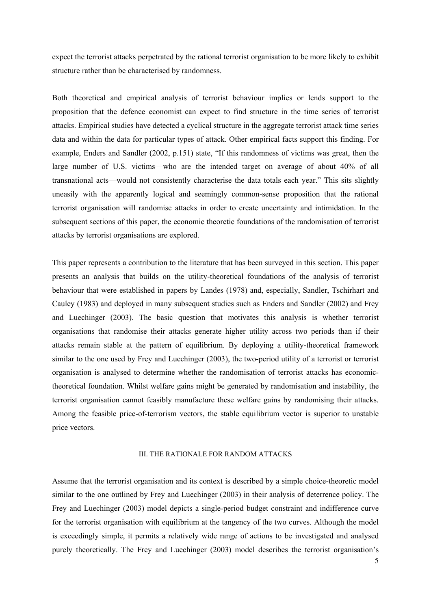expect the terrorist attacks perpetrated by the rational terrorist organisation to be more likely to exhibit structure rather than be characterised by randomness.

Both theoretical and empirical analysis of terrorist behaviour implies or lends support to the proposition that the defence economist can expect to find structure in the time series of terrorist attacks. Empirical studies have detected a cyclical structure in the aggregate terrorist attack time series data and within the data for particular types of attack. Other empirical facts support this finding. For example, Enders and Sandler (2002, p.151) state, "If this randomness of victims was great, then the large number of U.S. victims—who are the intended target on average of about 40% of all transnational acts—would not consistently characterise the data totals each year." This sits slightly uneasily with the apparently logical and seemingly common-sense proposition that the rational terrorist organisation will randomise attacks in order to create uncertainty and intimidation. In the subsequent sections of this paper, the economic theoretic foundations of the randomisation of terrorist attacks by terrorist organisations are explored.

This paper represents a contribution to the literature that has been surveyed in this section. This paper presents an analysis that builds on the utility-theoretical foundations of the analysis of terrorist behaviour that were established in papers by Landes (1978) and, especially, Sandler, Tschirhart and Cauley (1983) and deployed in many subsequent studies such as Enders and Sandler (2002) and Frey and Luechinger (2003). The basic question that motivates this analysis is whether terrorist organisations that randomise their attacks generate higher utility across two periods than if their attacks remain stable at the pattern of equilibrium. By deploying a utility-theoretical framework similar to the one used by Frey and Luechinger (2003), the two-period utility of a terrorist or terrorist organisation is analysed to determine whether the randomisation of terrorist attacks has economictheoretical foundation. Whilst welfare gains might be generated by randomisation and instability, the terrorist organisation cannot feasibly manufacture these welfare gains by randomising their attacks. Among the feasible price-of-terrorism vectors, the stable equilibrium vector is superior to unstable price vectors.

## III. THE RATIONALE FOR RANDOM ATTACKS

Assume that the terrorist organisation and its context is described by a simple choice-theoretic model similar to the one outlined by Frey and Luechinger (2003) in their analysis of deterrence policy. The Frey and Luechinger (2003) model depicts a single-period budget constraint and indifference curve for the terrorist organisation with equilibrium at the tangency of the two curves. Although the model is exceedingly simple, it permits a relatively wide range of actions to be investigated and analysed purely theoretically. The Frey and Luechinger (2003) model describes the terrorist organisation's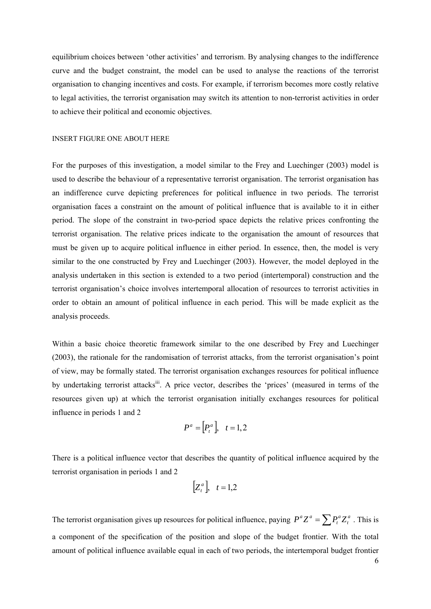equilibrium choices between 'other activities' and terrorism. By analysing changes to the indifference curve and the budget constraint, the model can be used to analyse the reactions of the terrorist organisation to changing incentives and costs. For example, if terrorism becomes more costly relative to legal activities, the terrorist organisation may switch its attention to non-terrorist activities in order to achieve their political and economic objectives.

## INSERT FIGURE ONE ABOUT HERE

For the purposes of this investigation, a model similar to the Frey and Luechinger (2003) model is used to describe the behaviour of a representative terrorist organisation. The terrorist organisation has an indifference curve depicting preferences for political influence in two periods. The terrorist organisation faces a constraint on the amount of political influence that is available to it in either period. The slope of the constraint in two-period space depicts the relative prices confronting the terrorist organisation. The relative prices indicate to the organisation the amount of resources that must be given up to acquire political influence in either period. In essence, then, the model is very similar to the one constructed by Frey and Luechinger (2003). However, the model deployed in the analysis undertaken in this section is extended to a two period (intertemporal) construction and the terrorist organisation's choice involves intertemporal allocation of resources to terrorist activities in order to obtain an amount of political influence in each period. This will be made explicit as the analysis proceeds.

Within a basic choice theoretic framework similar to the one described by Frey and Luechinger (2003), the rationale for the randomisation of terrorist attacks, from the terrorist organisation's point of view, may be formally stated. The terrorist organisation exchanges resources for political influence by undertaking terrorist attacks<sup>iii</sup>. A price vector, describes the 'prices' (measured in terms of the resources given up) at which the terrorist organisation initially exchanges resources for political influence in periods 1 and 2

$$
P^a = [P_t^a], \quad t = 1, 2
$$

There is a political influence vector that describes the quantity of political influence acquired by the terrorist organisation in periods 1 and 2

$$
\left[Z_t^a\right], \quad t=1,2
$$

The terrorist organisation gives up resources for political influence, paying  $P^a Z^a = \sum P_t^a Z_t^a$ *a*  $P^a Z^a = \sum P_t^a Z_t^a$ . This is a component of the specification of the position and slope of the budget frontier. With the total amount of political influence available equal in each of two periods, the intertemporal budget frontier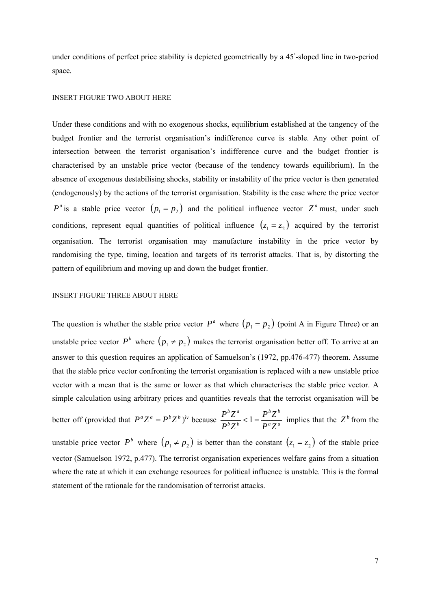under conditions of perfect price stability is depicted geometrically by a 45°-sloped line in two-period space.

#### INSERT FIGURE TWO ABOUT HERE

Under these conditions and with no exogenous shocks, equilibrium established at the tangency of the budget frontier and the terrorist organisation's indifference curve is stable. Any other point of intersection between the terrorist organisation's indifference curve and the budget frontier is characterised by an unstable price vector (because of the tendency towards equilibrium). In the absence of exogenous destabilising shocks, stability or instability of the price vector is then generated (endogenously) by the actions of the terrorist organisation. Stability is the case where the price vector  $P^a$  is a stable price vector  $(p_1 = p_2)$  and the political influence vector  $Z^a$  must, under such conditions, represent equal quantities of political influence  $(z_1 = z_2)$  acquired by the terrorist organisation. The terrorist organisation may manufacture instability in the price vector by randomising the type, timing, location and targets of its terrorist attacks. That is, by distorting the pattern of equilibrium and moving up and down the budget frontier.

#### INSERT FIGURE THREE ABOUT HERE

The question is whether the stable price vector  $P^a$  where  $(p_1 = p_2)$  (point A in Figure Three) or an unstable price vector  $P^b$  where  $(p_1 \neq p_2)$  makes the terrorist organisation better off. To arrive at an answer to this question requires an application of Samuelson's (1972, pp.476-477) theorem. Assume that the stable price vector confronting the terrorist organisation is replaced with a new unstable price vector with a mean that is the same or lower as that which characterises the stable price vector. A simple calculation using arbitrary prices and quantities reveals that the terrorist organisation will be

better off (provided that  $P^a Z^a = P^b Z^b$ )<sup>iv</sup> because  $\frac{P^b Z^a}{P^b Z^b} < 1 = \frac{P^b Z^b}{P^a Z^a}$  $b \rightarrow b$ *b a*  $P^aZ$  $P^bZ$  $P^bZ$  $\frac{P^b Z^a}{\frac{1}{2} + P^b Z^b}$  =  $\frac{P^b Z^b}{\frac{1}{2} + P^b Z^b}$  implies that the  $Z^b$  from the unstable price vector  $P^b$  where  $(p_1 \neq p_2)$  is better than the constant  $(z_1 = z_2)$  of the stable price vector (Samuelson 1972, p.477). The terrorist organisation experiences welfare gains from a situation where the rate at which it can exchange resources for political influence is unstable. This is the formal statement of the rationale for the randomisation of terrorist attacks.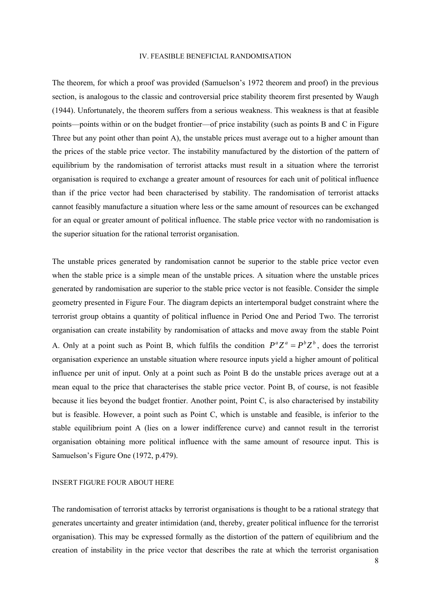#### IV. FEASIBLE BENEFICIAL RANDOMISATION

The theorem, for which a proof was provided (Samuelson's 1972 theorem and proof) in the previous section, is analogous to the classic and controversial price stability theorem first presented by Waugh (1944). Unfortunately, the theorem suffers from a serious weakness. This weakness is that at feasible points—points within or on the budget frontier—of price instability (such as points B and C in Figure Three but any point other than point A), the unstable prices must average out to a higher amount than the prices of the stable price vector. The instability manufactured by the distortion of the pattern of equilibrium by the randomisation of terrorist attacks must result in a situation where the terrorist organisation is required to exchange a greater amount of resources for each unit of political influence than if the price vector had been characterised by stability. The randomisation of terrorist attacks cannot feasibly manufacture a situation where less or the same amount of resources can be exchanged for an equal or greater amount of political influence. The stable price vector with no randomisation is the superior situation for the rational terrorist organisation.

The unstable prices generated by randomisation cannot be superior to the stable price vector even when the stable price is a simple mean of the unstable prices. A situation where the unstable prices generated by randomisation are superior to the stable price vector is not feasible. Consider the simple geometry presented in Figure Four. The diagram depicts an intertemporal budget constraint where the terrorist group obtains a quantity of political influence in Period One and Period Two. The terrorist organisation can create instability by randomisation of attacks and move away from the stable Point A. Only at a point such as Point B, which fulfils the condition  $P^a Z^a = P^b Z^b$ , does the terrorist organisation experience an unstable situation where resource inputs yield a higher amount of political influence per unit of input. Only at a point such as Point B do the unstable prices average out at a mean equal to the price that characterises the stable price vector. Point B, of course, is not feasible because it lies beyond the budget frontier. Another point, Point C, is also characterised by instability but is feasible. However, a point such as Point C, which is unstable and feasible, is inferior to the stable equilibrium point A (lies on a lower indifference curve) and cannot result in the terrorist organisation obtaining more political influence with the same amount of resource input. This is Samuelson's Figure One (1972, p.479).

## INSERT FIGURE FOUR ABOUT HERE

The randomisation of terrorist attacks by terrorist organisations is thought to be a rational strategy that generates uncertainty and greater intimidation (and, thereby, greater political influence for the terrorist organisation). This may be expressed formally as the distortion of the pattern of equilibrium and the creation of instability in the price vector that describes the rate at which the terrorist organisation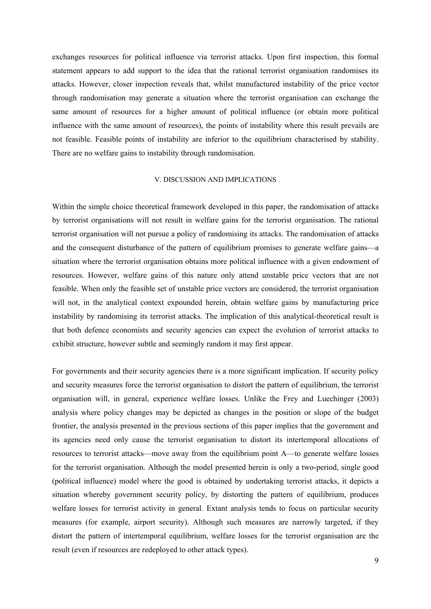exchanges resources for political influence via terrorist attacks. Upon first inspection, this formal statement appears to add support to the idea that the rational terrorist organisation randomises its attacks. However, closer inspection reveals that, whilst manufactured instability of the price vector through randomisation may generate a situation where the terrorist organisation can exchange the same amount of resources for a higher amount of political influence (or obtain more political influence with the same amount of resources), the points of instability where this result prevails are not feasible. Feasible points of instability are inferior to the equilibrium characterised by stability. There are no welfare gains to instability through randomisation.

## V. DISCUSSION AND IMPLICATIONS

Within the simple choice theoretical framework developed in this paper, the randomisation of attacks by terrorist organisations will not result in welfare gains for the terrorist organisation. The rational terrorist organisation will not pursue a policy of randomising its attacks. The randomisation of attacks and the consequent disturbance of the pattern of equilibrium promises to generate welfare gains—a situation where the terrorist organisation obtains more political influence with a given endowment of resources. However, welfare gains of this nature only attend unstable price vectors that are not feasible. When only the feasible set of unstable price vectors are considered, the terrorist organisation will not, in the analytical context expounded herein, obtain welfare gains by manufacturing price instability by randomising its terrorist attacks. The implication of this analytical-theoretical result is that both defence economists and security agencies can expect the evolution of terrorist attacks to exhibit structure, however subtle and seemingly random it may first appear.

For governments and their security agencies there is a more significant implication. If security policy and security measures force the terrorist organisation to distort the pattern of equilibrium, the terrorist organisation will, in general, experience welfare losses. Unlike the Frey and Luechinger (2003) analysis where policy changes may be depicted as changes in the position or slope of the budget frontier, the analysis presented in the previous sections of this paper implies that the government and its agencies need only cause the terrorist organisation to distort its intertemporal allocations of resources to terrorist attacks—move away from the equilibrium point A—to generate welfare losses for the terrorist organisation. Although the model presented herein is only a two-period, single good (political influence) model where the good is obtained by undertaking terrorist attacks, it depicts a situation whereby government security policy, by distorting the pattern of equilibrium, produces welfare losses for terrorist activity in general. Extant analysis tends to focus on particular security measures (for example, airport security). Although such measures are narrowly targeted, if they distort the pattern of intertemporal equilibrium, welfare losses for the terrorist organisation are the result (even if resources are redeployed to other attack types).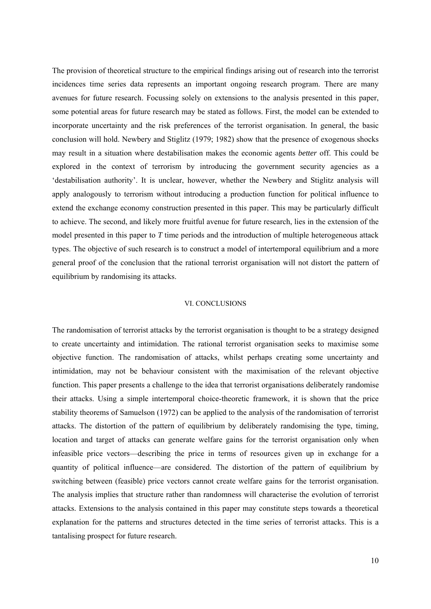The provision of theoretical structure to the empirical findings arising out of research into the terrorist incidences time series data represents an important ongoing research program. There are many avenues for future research. Focussing solely on extensions to the analysis presented in this paper, some potential areas for future research may be stated as follows. First, the model can be extended to incorporate uncertainty and the risk preferences of the terrorist organisation. In general, the basic conclusion will hold. Newbery and Stiglitz (1979; 1982) show that the presence of exogenous shocks may result in a situation where destabilisation makes the economic agents *better* off. This could be explored in the context of terrorism by introducing the government security agencies as a 'destabilisation authority'. It is unclear, however, whether the Newbery and Stiglitz analysis will apply analogously to terrorism without introducing a production function for political influence to extend the exchange economy construction presented in this paper. This may be particularly difficult to achieve. The second, and likely more fruitful avenue for future research, lies in the extension of the model presented in this paper to *T* time periods and the introduction of multiple heterogeneous attack types. The objective of such research is to construct a model of intertemporal equilibrium and a more general proof of the conclusion that the rational terrorist organisation will not distort the pattern of equilibrium by randomising its attacks.

#### VI. CONCLUSIONS

The randomisation of terrorist attacks by the terrorist organisation is thought to be a strategy designed to create uncertainty and intimidation. The rational terrorist organisation seeks to maximise some objective function. The randomisation of attacks, whilst perhaps creating some uncertainty and intimidation, may not be behaviour consistent with the maximisation of the relevant objective function. This paper presents a challenge to the idea that terrorist organisations deliberately randomise their attacks. Using a simple intertemporal choice-theoretic framework, it is shown that the price stability theorems of Samuelson (1972) can be applied to the analysis of the randomisation of terrorist attacks. The distortion of the pattern of equilibrium by deliberately randomising the type, timing, location and target of attacks can generate welfare gains for the terrorist organisation only when infeasible price vectors—describing the price in terms of resources given up in exchange for a quantity of political influence—are considered. The distortion of the pattern of equilibrium by switching between (feasible) price vectors cannot create welfare gains for the terrorist organisation. The analysis implies that structure rather than randomness will characterise the evolution of terrorist attacks. Extensions to the analysis contained in this paper may constitute steps towards a theoretical explanation for the patterns and structures detected in the time series of terrorist attacks. This is a tantalising prospect for future research.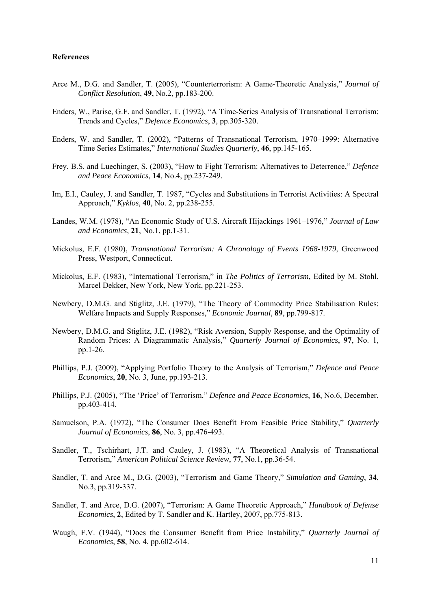## **References**

- Arce M., D.G. and Sandler, T. (2005), "Counterterrorism: A Game-Theoretic Analysis," *Journal of Conflict Resolution*, **49**, No.2, pp.183-200.
- Enders, W., Parise, G.F. and Sandler, T. (1992), "A Time-Series Analysis of Transnational Terrorism: Trends and Cycles," *Defence Economics*, **3**, pp.305-320.
- Enders, W. and Sandler, T. (2002), "Patterns of Transnational Terrorism, 1970–1999: Alternative Time Series Estimates," *International Studies Quarterly*, **46**, pp.145-165.
- Frey, B.S. and Luechinger, S. (2003), "How to Fight Terrorism: Alternatives to Deterrence," *Defence and Peace Economics*, **14**, No.4, pp.237-249.
- Im, E.I., Cauley, J. and Sandler, T. 1987, "Cycles and Substitutions in Terrorist Activities: A Spectral Approach," *Kyklos*, **40**, No. 2, pp.238-255.
- Landes, W.M. (1978), "An Economic Study of U.S. Aircraft Hijackings 1961–1976," *Journal of Law and Economics*, **21**, No.1, pp.1-31.
- Mickolus, E.F. (1980), *Transnational Terrorism: A Chronology of Events 1968-1979*, Greenwood Press, Westport, Connecticut.
- Mickolus, E.F. (1983), "International Terrorism," in *The Politics of Terrorism*, Edited by M. Stohl, Marcel Dekker, New York, New York, pp.221-253.
- Newbery, D.M.G. and Stiglitz, J.E. (1979), "The Theory of Commodity Price Stabilisation Rules: Welfare Impacts and Supply Responses," *Economic Journal*, **89**, pp.799-817.
- Newbery, D.M.G. and Stiglitz, J.E. (1982), "Risk Aversion, Supply Response, and the Optimality of Random Prices: A Diagrammatic Analysis," *Quarterly Journal of Economics*, **97**, No. 1, pp.1-26.
- Phillips, P.J. (2009), "Applying Portfolio Theory to the Analysis of Terrorism," *Defence and Peace Economics*, **20**, No. 3, June, pp.193-213.
- Phillips, P.J. (2005), "The 'Price' of Terrorism," *Defence and Peace Economics*, **16**, No.6, December, pp.403-414.
- Samuelson, P.A. (1972), "The Consumer Does Benefit From Feasible Price Stability," *Quarterly Journal of Economics*, **86**, No. 3, pp.476-493.
- Sandler, T., Tschirhart, J.T. and Cauley, J. (1983), "A Theoretical Analysis of Transnational Terrorism," *American Political Science Review*, **77**, No.1, pp.36-54.
- Sandler, T. and Arce M., D.G. (2003), "Terrorism and Game Theory," *Simulation and Gaming*, **34**, No.3, pp.319-337.
- Sandler, T. and Arce, D.G. (2007), "Terrorism: A Game Theoretic Approach," *Handbook of Defense Economics*, **2**, Edited by T. Sandler and K. Hartley, 2007, pp.775-813.
- Waugh, F.V. (1944), "Does the Consumer Benefit from Price Instability," *Quarterly Journal of Economics*, **58**, No. 4, pp.602-614.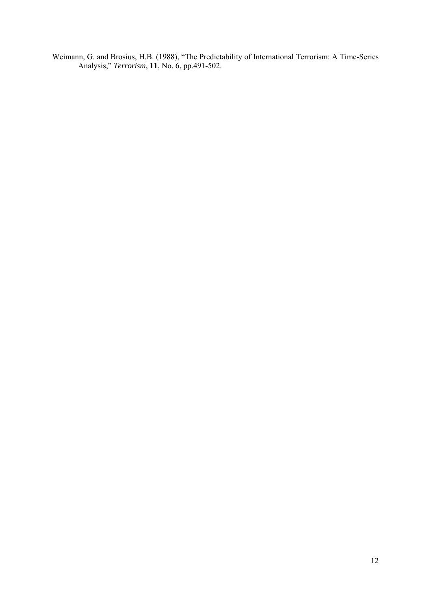Weimann, G. and Brosius, H.B. (1988), "The Predictability of International Terrorism: A Time-Series Analysis," *Terrorism*, **11**, No. 6, pp.491-502.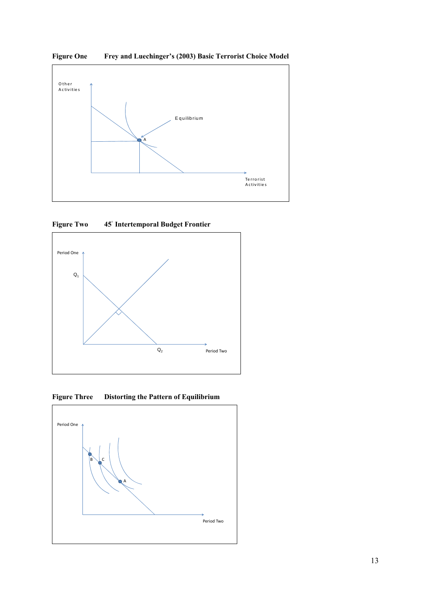



**Figure Two Intertemporal Budget Frontier** 



**Figure Three Distorting the Pattern of Equilibrium**